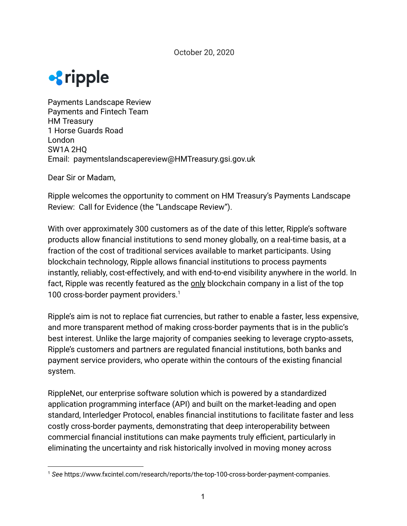

Payments Landscape Review Payments and Fintech Team HM Treasury 1 Horse Guards Road London SW1A 2HQ Email: paymentslandscapereview@HMTreasury.gsi.gov.uk

Dear Sir or Madam,

Ripple welcomes the opportunity to comment on HM Treasury's Payments Landscape Review: Call for Evidence (the "Landscape Review").

With over approximately 300 customers as of the date of this letter, Ripple's software products allow financial institutions to send money globally, on a real-time basis, at a fraction of the cost of traditional services available to market participants. Using blockchain technology, Ripple allows financial institutions to process payments instantly, reliably, cost-effectively, and with end-to-end visibility anywhere in the world. In fact, Ripple was recently featured as the only blockchain company in a list of the top 100 cross-border payment providers.<sup>1</sup>

Ripple's aim is not to replace fiat currencies, but rather to enable a faster, less expensive, and more transparent method of making cross-border payments that is in the public's best interest. Unlike the large majority of companies seeking to leverage crypto-assets, Ripple's customers and partners are regulated financial institutions, both banks and payment service providers, who operate within the contours of the existing financial system.

RippleNet, our enterprise software solution which is powered by a standardized application programming interface (API) and built on the market-leading and open standard, Interledger Protocol, enables financial institutions to facilitate faster and less costly cross-border payments, demonstrating that deep interoperability between commercial financial institutions can make payments truly efficient, particularly in eliminating the uncertainty and risk historically involved in moving money across

<sup>1</sup> *See* https://www.fxcintel.com/research/reports/the-top-100-cross-border-payment-companies.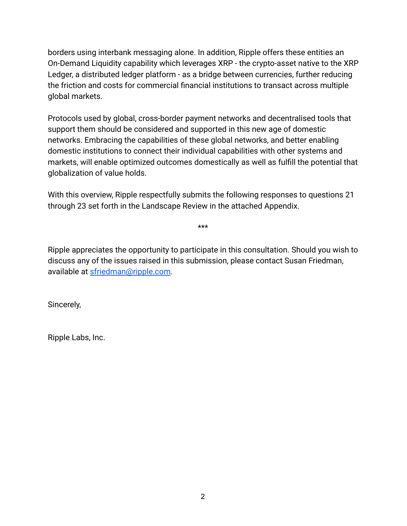borders using interbank messaging alone. In addition, Ripple offers these entities an On-Demand Liquidity capability which leverages XRP - the crypto-asset native to the XRP Ledger, a distributed ledger platform - as a bridge between currencies, further reducing the friction and costs for commercial financial institutions to transact across multiple global markets.

Protocols used by global, cross-border payment networks and decentralised tools that support them should be considered and supported in this new age of domestic networks. Embracing the capabilities of these global networks, and better enabling domestic institutions to connect their individual capabilities with other systems and markets, will enable optimized outcomes domestically as well as fulfill the potential that globalization of value holds.

With this overview, Ripple respectfully submits the following responses to questions 21 through 23 set forth in the Landscape Review in the attached Appendix.

\*\*\*

Ripple appreciates the opportunity to participate in this consultation. Should you wish to discuss any of the issues raised in this submission, please contact Susan Friedman, available at [sfriedman@ripple.com](mailto:sfriedman@ripple.com) .

Sincerely,

Ripple Labs, Inc.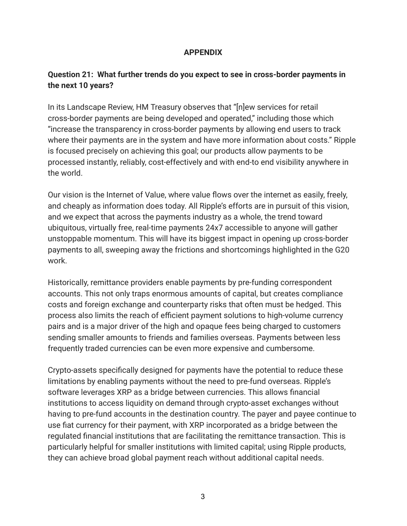## **APPENDIX**

## **Question 21: What further trends do you expect to see in cross-border payments in the next 10 years?**

In its Landscape Review, HM Treasury observes that "[n]ew services for retail cross-border payments are being developed and operated," including those which "increase the transparency in cross-border payments by allowing end users to track where their payments are in the system and have more information about costs." Ripple is focused precisely on achieving this goal; our products allow payments to be processed instantly, reliably, cost-effectively and with end-to end visibility anywhere in the world.

Our vision is the Internet of Value, where value flows over the internet as easily, freely, and cheaply as information does today. All Ripple's efforts are in pursuit of this vision, and we expect that across the payments industry as a whole, the trend toward ubiquitous, virtually free, real-time payments 24x7 accessible to anyone will gather unstoppable momentum. This will have its biggest impact in opening up cross-border payments to all, sweeping away the frictions and shortcomings highlighted in the G20 work.

Historically, remittance providers enable payments by pre-funding correspondent accounts. This not only traps enormous amounts of capital, but creates compliance costs and foreign exchange and counterparty risks that often must be hedged. This process also limits the reach of efficient payment solutions to high-volume currency pairs and is a major driver of the high and opaque fees being charged to customers sending smaller amounts to friends and families overseas. Payments between less frequently traded currencies can be even more expensive and cumbersome.

Crypto-assets specifically designed for payments have the potential to reduce these limitations by enabling payments without the need to pre-fund overseas. Ripple's software leverages XRP as a bridge between currencies. This allows financial institutions to access liquidity on demand through crypto-asset exchanges without having to pre-fund accounts in the destination country. The payer and payee continue to use fiat currency for their payment, with XRP incorporated as a bridge between the regulated financial institutions that are facilitating the remittance transaction. This is particularly helpful for smaller institutions with limited capital; using Ripple products, they can achieve broad global payment reach without additional capital needs.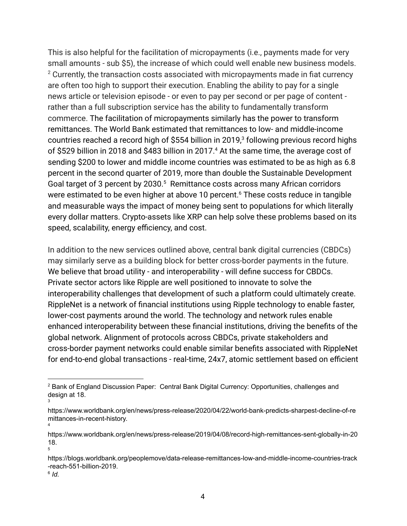This is also helpful for the facilitation of micropayments (i.e., payments made for very small amounts - sub \$5), the increase of which could well enable new business models.  $2$  Currently, the transaction costs associated with micropayments made in fiat currency are often too high to support their execution. Enabling the ability to pay for a single news article or television episode - or even to pay per second or per page of content rather than a full subscription service has the ability to fundamentally transform commerce. The facilitation of micropayments similarly has the power to transform remittances. The World Bank estimated that remittances to low- and middle-income countries reached a record high of \$554 billion in 2019, $3$  following previous record highs of \$529 billion in 2018 and \$483 billion in 2017.<sup>4</sup> At the same time, the average cost of sending \$200 to lower and middle income countries was estimated to be as high as 6.8 percent in the second quarter of 2019, more than double the Sustainable Development Goal target of 3 percent by 2030.<sup>5</sup> Remittance costs across many African corridors were estimated to be even higher at above 10 percent.<sup>6</sup> These costs reduce in tangible and measurable ways the impact of money being sent to populations for which literally every dollar matters. Crypto-assets like XRP can help solve these problems based on its speed, scalability, energy efficiency, and cost.

In addition to the new services outlined above, central bank digital currencies (CBDCs) may similarly serve as a building block for better cross-border payments in the future. We believe that broad utility - and interoperability - will define success for CBDCs. Private sector actors like Ripple are well positioned to innovate to solve the interoperability challenges that development of such a platform could ultimately create. RippleNet is a network of financial institutions using Ripple technology to enable faster, lower-cost payments around the world. The technology and network rules enable enhanced interoperability between these financial institutions, driving the benefits of the global network. Alignment of protocols across CBDCs, private stakeholders and cross-border payment networks could enable similar benefits associated with RippleNet for end-to-end global transactions - real-time, 24x7, atomic settlement based on efficient

<sup>&</sup>lt;sup>2</sup> Bank of England Discussion Paper: Central Bank Digital Currency: Opportunities, challenges and design at 18. 3

https://www.worldbank.org/en/news/press-release/2020/04/22/world-bank-predicts-sharpest-decline-of-re mittances-in-recent-history. 4

https://www.worldbank.org/en/news/press-release/2019/04/08/record-high-remittances-sent-globally-in-20 18. 5

https://blogs.worldbank.org/peoplemove/data-release-remittances-low-and-middle-income-countries-track -reach-551-billion-2019.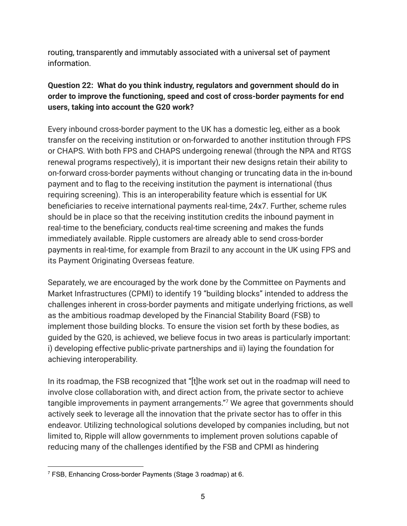routing, transparently and immutably associated with a universal set of payment information.

## **Question 22: What do you think industry, regulators and government should do in order to improve the functioning, speed and cost of cross-border payments for end users, taking into account the G20 work?**

Every inbound cross-border payment to the UK has a domestic leg, either as a book transfer on the receiving institution or on-forwarded to another institution through FPS or CHAPS. With both FPS and CHAPS undergoing renewal (through the NPA and RTGS renewal programs respectively), it is important their new designs retain their ability to on-forward cross-border payments without changing or truncating data in the in-bound payment and to flag to the receiving institution the payment is international (thus requiring screening). This is an interoperability feature which is essential for UK beneficiaries to receive international payments real-time, 24x7. Further, scheme rules should be in place so that the receiving institution credits the inbound payment in real-time to the beneficiary, conducts real-time screening and makes the funds immediately available. Ripple customers are already able to send cross-border payments in real-time, for example from Brazil to any account in the UK using FPS and its Payment Originating Overseas feature.

Separately, we are encouraged by the work done by the Committee on Payments and Market Infrastructures (CPMI) to identify 19 "building blocks" intended to address the challenges inherent in cross-border payments and mitigate underlying frictions, as well as the ambitious roadmap developed by the Financial Stability Board (FSB) to implement those building blocks. To ensure the vision set forth by these bodies, as guided by the G20, is achieved, we believe focus in two areas is particularly important: i) developing effective public-private partnerships and ii) laying the foundation for achieving interoperability.

In its roadmap, the FSB recognized that "[t]he work set out in the roadmap will need to involve close collaboration with, and direct action from, the private sector to achieve tangible improvements in payment arrangements."7 We agree that governments should actively seek to leverage all the innovation that the private sector has to offer in this endeavor. Utilizing technological solutions developed by companies including, but not limited to, Ripple will allow governments to implement proven solutions capable of reducing many of the challenges identified by the FSB and CPMI as hindering

<sup>7</sup> FSB, Enhancing Cross-border Payments (Stage 3 roadmap) at 6.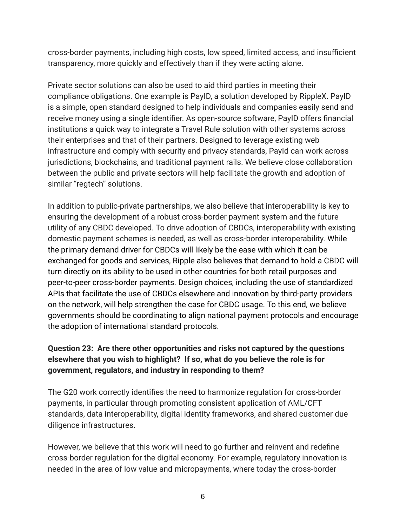cross-border payments, including high costs, low speed, limited access, and insufficient transparency, more quickly and effectively than if they were acting alone.

Private sector solutions can also be used to aid third parties in meeting their compliance obligations. One example is PayID, a solution developed by RippleX. PayID is a simple, open standard designed to help individuals and companies easily send and receive money using a single identifier. As open-source software, PayID offers financial institutions a quick way to integrate a Travel Rule solution with other systems across their enterprises and that of their partners. Designed to leverage existing web infrastructure and comply with security and privacy standards, PayId can work across jurisdictions, blockchains, and traditional payment rails. We believe close collaboration between the public and private sectors will help facilitate the growth and adoption of similar "regtech" solutions.

In addition to public-private partnerships, we also believe that interoperability is key to ensuring the development of a robust cross-border payment system and the future utility of any CBDC developed. To drive adoption of CBDCs, interoperability with existing domestic payment schemes is needed, as well as cross-border interoperability. While the primary demand driver for CBDCs will likely be the ease with which it can be exchanged for goods and services, Ripple also believes that demand to hold a CBDC will turn directly on its ability to be used in other countries for both retail purposes and peer-to-peer cross-border payments. Design choices, including the use of standardized APIs that facilitate the use of CBDCs elsewhere and innovation by third-party providers on the network, will help strengthen the case for CBDC usage. To this end, we believe governments should be coordinating to align national payment protocols and encourage the adoption of international standard protocols.

## **Question 23: Are there other opportunities and risks not captured by the questions elsewhere that you wish to highlight? If so, what do you believe the role is for government, regulators, and industry in responding to them?**

The G20 work correctly identifies the need to harmonize regulation for cross-border payments, in particular through promoting consistent application of AML/CFT standards, data interoperability, digital identity frameworks, and shared customer due diligence infrastructures.

However, we believe that this work will need to go further and reinvent and redefine cross-border regulation for the digital economy. For example, regulatory innovation is needed in the area of low value and micropayments, where today the cross-border